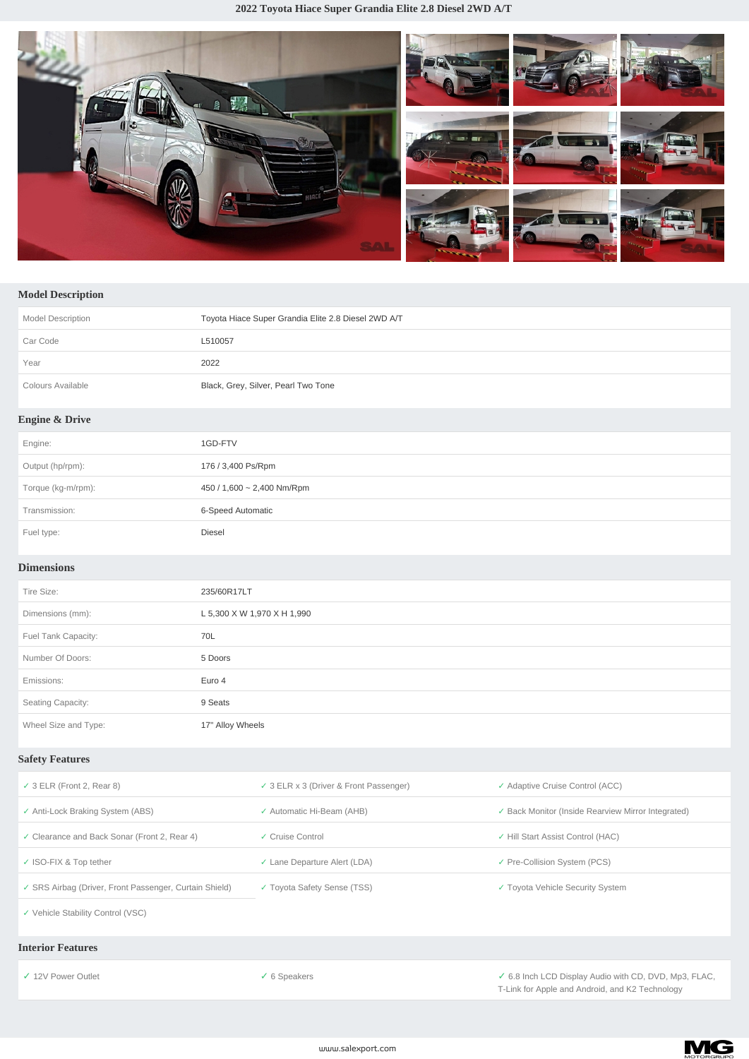**2022 Toyota Hiace Super Grandia Elite 2.8 Diesel 2WD A/T**



# **Model Description**

| <b>Model Description</b>  | Toyota Hiace Super Grandia Elite 2.8 Diesel 2WD A/T |
|---------------------------|-----------------------------------------------------|
| Car Code                  | L510057                                             |
| Year                      | 2022                                                |
| Colours Available         | Black, Grey, Silver, Pearl Two Tone                 |
| <b>Engine &amp; Drive</b> |                                                     |
| Engine:                   | 1GD-FTV                                             |
| Output (hp/rpm):          | 176 / 3,400 Ps/Rpm                                  |
| Torque (kg-m/rpm):        | 450 / 1,600 $\sim$ 2,400 Nm/Rpm                     |
| Transmission:             | 6-Speed Automatic                                   |
| Fuel type:                | Diesel                                              |

### **Dimensions**

| Tire Size:           | 235/60R17LT                 |
|----------------------|-----------------------------|
| Dimensions (mm):     | L 5,300 X W 1,970 X H 1,990 |
| Fuel Tank Capacity:  | 70L                         |
| Number Of Doors:     | 5 Doors                     |
| Emissions:           | Euro 4                      |
| Seating Capacity:    | 9 Seats                     |
| Wheel Size and Type: | 17" Alloy Wheels            |

### **Safety Features**

| $\checkmark$ 3 ELR (Front 2, Rear 8)                   | $\checkmark$ 3 ELR x 3 (Driver & Front Passenger) | ✓ Adaptive Cruise Control (ACC)                    |
|--------------------------------------------------------|---------------------------------------------------|----------------------------------------------------|
| ✓ Anti-Lock Braking System (ABS)                       | ✓ Automatic Hi-Beam (AHB)                         | ✓ Back Monitor (Inside Rearview Mirror Integrated) |
| ✓ Clearance and Back Sonar (Front 2, Rear 4)           | ✓ Cruise Control                                  | ✓ Hill Start Assist Control (HAC)                  |
| ✓ ISO-FIX & Top tether                                 | ✓ Lane Departure Alert (LDA)                      | ✓ Pre-Collision System (PCS)                       |
| ✓ SRS Airbag (Driver, Front Passenger, Curtain Shield) | ✓ Toyota Safety Sense (TSS)                       | ✓ Toyota Vehicle Security System                   |
| ✓ Vehicle Stability Control (VSC)                      |                                                   |                                                    |

#### **Interior Features**

*✓* 12V Power Outlet *✓* 6 Speakers *✓* 6.8 Inch LCD Display Audio with CD, DVD, Mp3, FLAC, T-Link for Apple and Android, and K2 Technology